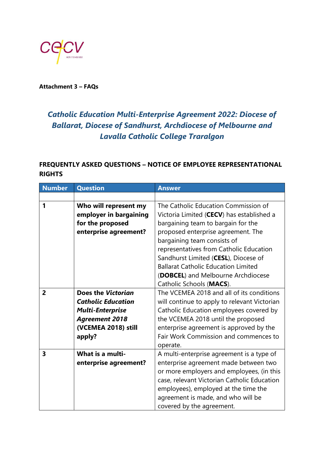

**Attachment 3 – FAQs**

## *Catholic Education Multi-Enterprise Agreement 2022: Diocese of Ballarat, Diocese of Sandhurst, Archdiocese of Melbourne and Lavalla Catholic College Traralgon*

## **FREQUENTLY ASKED QUESTIONS – NOTICE OF EMPLOYEE REPRESENTATIONAL RIGHTS**

| <b>Number</b>           | <b>Question</b>                                                                                                                      | <b>Answer</b>                                                                                                                                                                                                                                                                                                                                                                                   |
|-------------------------|--------------------------------------------------------------------------------------------------------------------------------------|-------------------------------------------------------------------------------------------------------------------------------------------------------------------------------------------------------------------------------------------------------------------------------------------------------------------------------------------------------------------------------------------------|
|                         |                                                                                                                                      |                                                                                                                                                                                                                                                                                                                                                                                                 |
| 1                       | Who will represent my<br>employer in bargaining<br>for the proposed<br>enterprise agreement?                                         | The Catholic Education Commission of<br>Victoria Limited (CECV) has established a<br>bargaining team to bargain for the<br>proposed enterprise agreement. The<br>bargaining team consists of<br>representatives from Catholic Education<br>Sandhurst Limited (CESL), Diocese of<br><b>Ballarat Catholic Education Limited</b><br>(DOBCEL) and Melbourne Archdiocese<br>Catholic Schools (MACS). |
| $\overline{2}$          | Does the Victorian<br><b>Catholic Education</b><br><b>Multi-Enterprise</b><br><b>Agreement 2018</b><br>(VCEMEA 2018) still<br>apply? | The VCEMEA 2018 and all of its conditions<br>will continue to apply to relevant Victorian<br>Catholic Education employees covered by<br>the VCEMEA 2018 until the proposed<br>enterprise agreement is approved by the<br>Fair Work Commission and commences to<br>operate.                                                                                                                      |
| $\overline{\mathbf{3}}$ | What is a multi-<br>enterprise agreement?                                                                                            | A multi-enterprise agreement is a type of<br>enterprise agreement made between two<br>or more employers and employees, (in this<br>case, relevant Victorian Catholic Education<br>employees), employed at the time the<br>agreement is made, and who will be<br>covered by the agreement.                                                                                                       |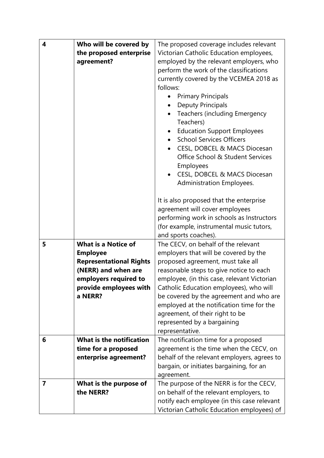| 4 | Who will be covered by              | The proposed coverage includes relevant                               |
|---|-------------------------------------|-----------------------------------------------------------------------|
|   | the proposed enterprise             | Victorian Catholic Education employees,                               |
|   | agreement?                          | employed by the relevant employers, who                               |
|   |                                     | perform the work of the classifications                               |
|   |                                     | currently covered by the VCEMEA 2018 as                               |
|   |                                     | follows:                                                              |
|   |                                     | <b>Primary Principals</b>                                             |
|   |                                     | <b>Deputy Principals</b>                                              |
|   |                                     | <b>Teachers (including Emergency</b>                                  |
|   |                                     | Teachers)                                                             |
|   |                                     | <b>Education Support Employees</b><br><b>School Services Officers</b> |
|   |                                     | CESL, DOBCEL & MACS Diocesan                                          |
|   |                                     | Office School & Student Services                                      |
|   |                                     | Employees                                                             |
|   |                                     | CESL, DOBCEL & MACS Diocesan                                          |
|   |                                     | Administration Employees.                                             |
|   |                                     |                                                                       |
|   |                                     | It is also proposed that the enterprise                               |
|   |                                     | agreement will cover employees                                        |
|   |                                     | performing work in schools as Instructors                             |
|   |                                     | (for example, instrumental music tutors,                              |
|   |                                     | and sports coaches).                                                  |
| 5 | <b>What is a Notice of</b>          | The CECV, on behalf of the relevant                                   |
|   | <b>Employee</b>                     | employers that will be covered by the                                 |
|   | <b>Representational Rights</b>      | proposed agreement, must take all                                     |
|   | (NERR) and when are                 | reasonable steps to give notice to each                               |
|   | employers required to               | employee, (in this case, relevant Victorian                           |
|   | provide employees with              | Catholic Education employees), who will                               |
|   | a NERR?                             | be covered by the agreement and who are                               |
|   |                                     | employed at the notification time for the                             |
|   |                                     | agreement, of their right to be                                       |
|   |                                     | represented by a bargaining                                           |
|   |                                     | representative.                                                       |
| 6 | <b>What is the notification</b>     | The notification time for a proposed                                  |
|   | time for a proposed                 | agreement is the time when the CECV, on                               |
|   | enterprise agreement?               | behalf of the relevant employers, agrees to                           |
|   |                                     | bargain, or initiates bargaining, for an                              |
|   |                                     | agreement.                                                            |
| 7 | What is the purpose of<br>the NERR? | The purpose of the NERR is for the CECV,                              |
|   |                                     | on behalf of the relevant employers, to                               |
|   |                                     | notify each employee (in this case relevant                           |
|   |                                     | Victorian Catholic Education employees) of                            |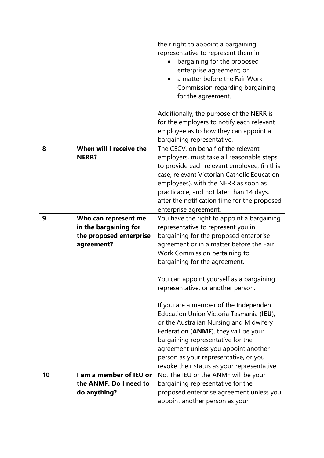|    |                                                                                        | their right to appoint a bargaining<br>representative to represent them in:<br>bargaining for the proposed<br>enterprise agreement; or<br>a matter before the Fair Work<br>Commission regarding bargaining<br>for the agreement.                                                                                                           |
|----|----------------------------------------------------------------------------------------|--------------------------------------------------------------------------------------------------------------------------------------------------------------------------------------------------------------------------------------------------------------------------------------------------------------------------------------------|
|    |                                                                                        | Additionally, the purpose of the NERR is                                                                                                                                                                                                                                                                                                   |
|    |                                                                                        | for the employers to notify each relevant<br>employee as to how they can appoint a<br>bargaining representative.                                                                                                                                                                                                                           |
| 8  | When will I receive the<br><b>NERR?</b>                                                | The CECV, on behalf of the relevant<br>employers, must take all reasonable steps<br>to provide each relevant employee, (in this<br>case, relevant Victorian Catholic Education                                                                                                                                                             |
|    |                                                                                        | employees), with the NERR as soon as<br>practicable, and not later than 14 days,<br>after the notification time for the proposed<br>enterprise agreement.                                                                                                                                                                                  |
| 9  | Who can represent me<br>in the bargaining for<br>the proposed enterprise<br>agreement? | You have the right to appoint a bargaining<br>representative to represent you in<br>bargaining for the proposed enterprise<br>agreement or in a matter before the Fair<br>Work Commission pertaining to<br>bargaining for the agreement.                                                                                                   |
|    |                                                                                        | You can appoint yourself as a bargaining<br>representative, or another person.                                                                                                                                                                                                                                                             |
|    |                                                                                        | If you are a member of the Independent<br>Education Union Victoria Tasmania (IEU),<br>or the Australian Nursing and Midwifery<br>Federation (ANMF), they will be your<br>bargaining representative for the<br>agreement unless you appoint another<br>person as your representative, or you<br>revoke their status as your representative. |
| 10 | I am a member of IEU or<br>the ANMF. Do I need to                                      | No. The IEU or the ANMF will be your<br>bargaining representative for the                                                                                                                                                                                                                                                                  |
|    | do anything?                                                                           | proposed enterprise agreement unless you<br>appoint another person as your                                                                                                                                                                                                                                                                 |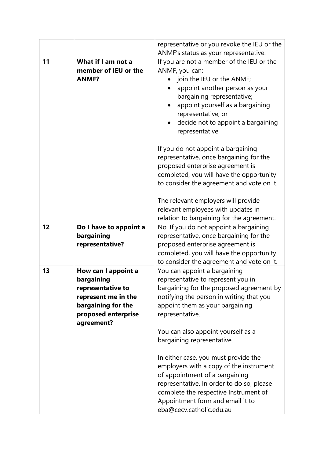| representative or you revoke the IEU or the                                                                                                                                                                                                                                                                                                                                                                                                                                                     |
|-------------------------------------------------------------------------------------------------------------------------------------------------------------------------------------------------------------------------------------------------------------------------------------------------------------------------------------------------------------------------------------------------------------------------------------------------------------------------------------------------|
| ANMF's status as your representative.                                                                                                                                                                                                                                                                                                                                                                                                                                                           |
| If you are not a member of the IEU or the<br>ANMF, you can:<br>member of IEU or the<br>join the IEU or the ANMF;<br>appoint another person as your<br>bargaining representative;<br>appoint yourself as a bargaining<br>$\bullet$<br>representative; or<br>decide not to appoint a bargaining<br>representative.                                                                                                                                                                                |
| If you do not appoint a bargaining<br>representative, once bargaining for the<br>proposed enterprise agreement is<br>completed, you will have the opportunity<br>to consider the agreement and vote on it.                                                                                                                                                                                                                                                                                      |
| The relevant employers will provide<br>relevant employees with updates in<br>relation to bargaining for the agreement.                                                                                                                                                                                                                                                                                                                                                                          |
| No. If you do not appoint a bargaining<br>Do I have to appoint a<br>representative, once bargaining for the<br>proposed enterprise agreement is<br>completed, you will have the opportunity<br>to consider the agreement and vote on it.                                                                                                                                                                                                                                                        |
| You can appoint a bargaining<br>representative to represent you in<br>bargaining for the proposed agreement by<br>notifying the person in writing that you<br>appoint them as your bargaining<br>representative.<br>You can also appoint yourself as a<br>bargaining representative.<br>In either case, you must provide the<br>employers with a copy of the instrument<br>of appointment of a bargaining<br>representative. In order to do so, please<br>complete the respective Instrument of |
|                                                                                                                                                                                                                                                                                                                                                                                                                                                                                                 |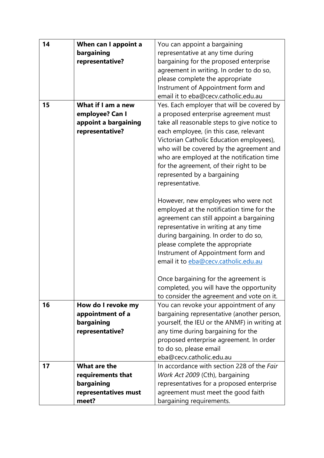|              | You can appoint a bargaining                                                                                                                                                                                                                                                             |
|--------------|------------------------------------------------------------------------------------------------------------------------------------------------------------------------------------------------------------------------------------------------------------------------------------------|
|              | representative at any time during                                                                                                                                                                                                                                                        |
|              |                                                                                                                                                                                                                                                                                          |
|              | bargaining for the proposed enterprise                                                                                                                                                                                                                                                   |
|              | agreement in writing. In order to do so,                                                                                                                                                                                                                                                 |
|              | please complete the appropriate                                                                                                                                                                                                                                                          |
|              | Instrument of Appointment form and                                                                                                                                                                                                                                                       |
|              | email it to eba@cecv.catholic.edu.au                                                                                                                                                                                                                                                     |
|              | Yes. Each employer that will be covered by                                                                                                                                                                                                                                               |
|              | a proposed enterprise agreement must                                                                                                                                                                                                                                                     |
|              | take all reasonable steps to give notice to                                                                                                                                                                                                                                              |
|              | each employee, (in this case, relevant                                                                                                                                                                                                                                                   |
|              | Victorian Catholic Education employees),                                                                                                                                                                                                                                                 |
|              | who will be covered by the agreement and                                                                                                                                                                                                                                                 |
|              | who are employed at the notification time                                                                                                                                                                                                                                                |
|              | for the agreement, of their right to be                                                                                                                                                                                                                                                  |
|              | represented by a bargaining                                                                                                                                                                                                                                                              |
|              | representative.                                                                                                                                                                                                                                                                          |
|              |                                                                                                                                                                                                                                                                                          |
|              | However, new employees who were not                                                                                                                                                                                                                                                      |
|              | employed at the notification time for the                                                                                                                                                                                                                                                |
|              | agreement can still appoint a bargaining                                                                                                                                                                                                                                                 |
|              | representative in writing at any time                                                                                                                                                                                                                                                    |
|              | during bargaining. In order to do so,                                                                                                                                                                                                                                                    |
|              | please complete the appropriate                                                                                                                                                                                                                                                          |
|              | Instrument of Appointment form and                                                                                                                                                                                                                                                       |
|              | email it to eba@cecv.catholic.edu.au                                                                                                                                                                                                                                                     |
|              |                                                                                                                                                                                                                                                                                          |
|              | Once bargaining for the agreement is                                                                                                                                                                                                                                                     |
|              | completed, you will have the opportunity                                                                                                                                                                                                                                                 |
|              | to consider the agreement and vote on it.                                                                                                                                                                                                                                                |
|              | You can revoke your appointment of any                                                                                                                                                                                                                                                   |
|              | bargaining representative (another person,                                                                                                                                                                                                                                               |
|              | yourself, the IEU or the ANMF) in writing at                                                                                                                                                                                                                                             |
|              | any time during bargaining for the                                                                                                                                                                                                                                                       |
|              | proposed enterprise agreement. In order                                                                                                                                                                                                                                                  |
|              | to do so, please email                                                                                                                                                                                                                                                                   |
|              | eba@cecv.catholic.edu.au                                                                                                                                                                                                                                                                 |
| What are the | In accordance with section 228 of the Fair                                                                                                                                                                                                                                               |
|              | Work Act 2009 (Cth), bargaining                                                                                                                                                                                                                                                          |
|              | representatives for a proposed enterprise                                                                                                                                                                                                                                                |
|              | agreement must meet the good faith                                                                                                                                                                                                                                                       |
|              | bargaining requirements.                                                                                                                                                                                                                                                                 |
|              | When can I appoint a<br>bargaining<br>representative?<br>What if I am a new<br>employee? Can I<br>appoint a bargaining<br>representative?<br>How do I revoke my<br>appointment of a<br>bargaining<br>representative?<br>requirements that<br>bargaining<br>representatives must<br>meet? |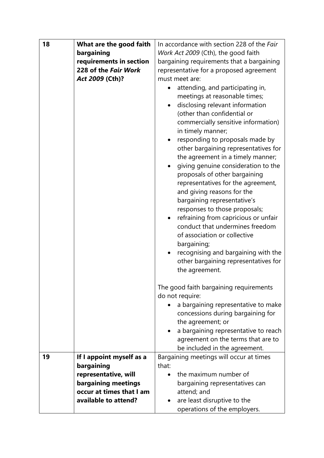| 18 | What are the good faith  | In accordance with section 228 of the Fair                                                                                                                                                                                                                                                                                                                                                                                                                                                                                                                                                                                                                                                                                                        |
|----|--------------------------|---------------------------------------------------------------------------------------------------------------------------------------------------------------------------------------------------------------------------------------------------------------------------------------------------------------------------------------------------------------------------------------------------------------------------------------------------------------------------------------------------------------------------------------------------------------------------------------------------------------------------------------------------------------------------------------------------------------------------------------------------|
|    | bargaining               | Work Act 2009 (Cth), the good faith                                                                                                                                                                                                                                                                                                                                                                                                                                                                                                                                                                                                                                                                                                               |
|    | requirements in section  | bargaining requirements that a bargaining                                                                                                                                                                                                                                                                                                                                                                                                                                                                                                                                                                                                                                                                                                         |
|    | 228 of the Fair Work     | representative for a proposed agreement                                                                                                                                                                                                                                                                                                                                                                                                                                                                                                                                                                                                                                                                                                           |
|    | Act 2009 (Cth)?          | must meet are:                                                                                                                                                                                                                                                                                                                                                                                                                                                                                                                                                                                                                                                                                                                                    |
|    |                          | attending, and participating in,<br>$\bullet$<br>meetings at reasonable times;<br>disclosing relevant information<br>(other than confidential or<br>commercially sensitive information)<br>in timely manner;<br>responding to proposals made by<br>other bargaining representatives for<br>the agreement in a timely manner;<br>giving genuine consideration to the<br>proposals of other bargaining<br>representatives for the agreement,<br>and giving reasons for the<br>bargaining representative's<br>responses to those proposals;<br>refraining from capricious or unfair<br>conduct that undermines freedom<br>of association or collective<br>bargaining;<br>recognising and bargaining with the<br>other bargaining representatives for |
|    |                          | the agreement.                                                                                                                                                                                                                                                                                                                                                                                                                                                                                                                                                                                                                                                                                                                                    |
|    |                          | The good faith bargaining requirements                                                                                                                                                                                                                                                                                                                                                                                                                                                                                                                                                                                                                                                                                                            |
|    |                          | do not require:<br>a bargaining representative to make                                                                                                                                                                                                                                                                                                                                                                                                                                                                                                                                                                                                                                                                                            |
|    |                          | concessions during bargaining for                                                                                                                                                                                                                                                                                                                                                                                                                                                                                                                                                                                                                                                                                                                 |
|    |                          | the agreement; or                                                                                                                                                                                                                                                                                                                                                                                                                                                                                                                                                                                                                                                                                                                                 |
|    |                          | a bargaining representative to reach                                                                                                                                                                                                                                                                                                                                                                                                                                                                                                                                                                                                                                                                                                              |
|    |                          | agreement on the terms that are to                                                                                                                                                                                                                                                                                                                                                                                                                                                                                                                                                                                                                                                                                                                |
|    |                          | be included in the agreement.                                                                                                                                                                                                                                                                                                                                                                                                                                                                                                                                                                                                                                                                                                                     |
| 19 | If I appoint myself as a | Bargaining meetings will occur at times                                                                                                                                                                                                                                                                                                                                                                                                                                                                                                                                                                                                                                                                                                           |
|    | bargaining               | that:                                                                                                                                                                                                                                                                                                                                                                                                                                                                                                                                                                                                                                                                                                                                             |
|    | representative, will     | the maximum number of                                                                                                                                                                                                                                                                                                                                                                                                                                                                                                                                                                                                                                                                                                                             |
|    | bargaining meetings      | bargaining representatives can                                                                                                                                                                                                                                                                                                                                                                                                                                                                                                                                                                                                                                                                                                                    |
|    | occur at times that I am | attend; and                                                                                                                                                                                                                                                                                                                                                                                                                                                                                                                                                                                                                                                                                                                                       |
|    | available to attend?     | are least disruptive to the                                                                                                                                                                                                                                                                                                                                                                                                                                                                                                                                                                                                                                                                                                                       |
|    |                          | operations of the employers.                                                                                                                                                                                                                                                                                                                                                                                                                                                                                                                                                                                                                                                                                                                      |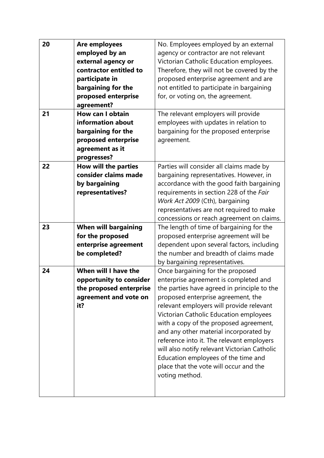| 20 | Are employees               | No. Employees employed by an external        |
|----|-----------------------------|----------------------------------------------|
|    | employed by an              | agency or contractor are not relevant        |
|    | external agency or          | Victorian Catholic Education employees.      |
|    | contractor entitled to      | Therefore, they will not be covered by the   |
|    | participate in              | proposed enterprise agreement and are        |
|    | bargaining for the          | not entitled to participate in bargaining    |
|    | proposed enterprise         | for, or voting on, the agreement.            |
|    | agreement?                  |                                              |
| 21 | <b>How can I obtain</b>     | The relevant employers will provide          |
|    | information about           | employees with updates in relation to        |
|    | bargaining for the          | bargaining for the proposed enterprise       |
|    | proposed enterprise         | agreement.                                   |
|    | agreement as it             |                                              |
|    | progresses?                 |                                              |
| 22 | How will the parties        | Parties will consider all claims made by     |
|    | consider claims made        | bargaining representatives. However, in      |
|    | by bargaining               | accordance with the good faith bargaining    |
|    | representatives?            | requirements in section 228 of the Fair      |
|    |                             | Work Act 2009 (Cth), bargaining              |
|    |                             | representatives are not required to make     |
|    |                             | concessions or reach agreement on claims.    |
| 23 | <b>When will bargaining</b> | The length of time of bargaining for the     |
|    | for the proposed            | proposed enterprise agreement will be        |
|    | enterprise agreement        | dependent upon several factors, including    |
|    | be completed?               | the number and breadth of claims made        |
|    |                             | by bargaining representatives.               |
| 24 | When will I have the        | Once bargaining for the proposed             |
|    | opportunity to consider     | enterprise agreement is completed and        |
|    | the proposed enterprise     | the parties have agreed in principle to the  |
|    | agreement and vote on       | proposed enterprise agreement, the           |
|    | it?                         | relevant employers will provide relevant     |
|    |                             | Victorian Catholic Education employees       |
|    |                             | with a copy of the proposed agreement,       |
|    |                             | and any other material incorporated by       |
|    |                             | reference into it. The relevant employers    |
|    |                             | will also notify relevant Victorian Catholic |
|    |                             | Education employees of the time and          |
|    |                             | place that the vote will occur and the       |
|    |                             | voting method.                               |
|    |                             |                                              |
|    |                             |                                              |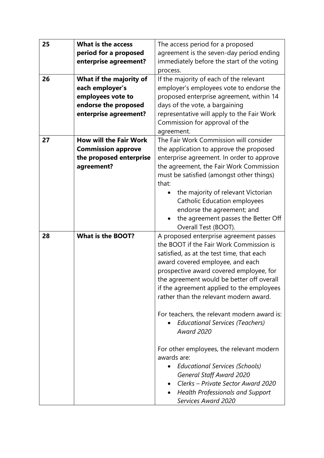| 25 | <b>What is the access</b>     | The access period for a proposed                        |
|----|-------------------------------|---------------------------------------------------------|
|    | period for a proposed         | agreement is the seven-day period ending                |
|    | enterprise agreement?         | immediately before the start of the voting              |
|    |                               | process.                                                |
| 26 | What if the majority of       | If the majority of each of the relevant                 |
|    | each employer's               | employer's employees vote to endorse the                |
|    | employees vote to             | proposed enterprise agreement, within 14                |
|    | endorse the proposed          | days of the vote, a bargaining                          |
|    | enterprise agreement?         | representative will apply to the Fair Work              |
|    |                               | Commission for approval of the                          |
|    |                               | agreement.                                              |
| 27 | <b>How will the Fair Work</b> | The Fair Work Commission will consider                  |
|    | <b>Commission approve</b>     | the application to approve the proposed                 |
|    | the proposed enterprise       | enterprise agreement. In order to approve               |
|    | agreement?                    | the agreement, the Fair Work Commission                 |
|    |                               | must be satisfied (amongst other things)                |
|    |                               | that:                                                   |
|    |                               | the majority of relevant Victorian                      |
|    |                               | <b>Catholic Education employees</b>                     |
|    |                               | endorse the agreement; and                              |
|    |                               | the agreement passes the Better Off                     |
|    |                               | Overall Test (BOOT).                                    |
| 28 | <b>What is the BOOT?</b>      | A proposed enterprise agreement passes                  |
|    |                               | the BOOT if the Fair Work Commission is                 |
|    |                               | satisfied, as at the test time, that each               |
|    |                               | award covered employee, and each                        |
|    |                               | prospective award covered employee, for                 |
|    |                               | the agreement would be better off overall               |
|    |                               | if the agreement applied to the employees               |
|    |                               | rather than the relevant modern award.                  |
|    |                               |                                                         |
|    |                               | For teachers, the relevant modern award is:             |
|    |                               | <b>Educational Services (Teachers)</b>                  |
|    |                               | <b>Award 2020</b>                                       |
|    |                               |                                                         |
|    |                               | For other employees, the relevant modern<br>awards are: |
|    |                               | <b>Educational Services (Schools)</b><br>$\bullet$      |
|    |                               | <b>General Staff Award 2020</b>                         |
|    |                               | Clerks - Private Sector Award 2020                      |
|    |                               | <b>Health Professionals and Support</b>                 |
|    |                               | Services Award 2020                                     |
|    |                               |                                                         |